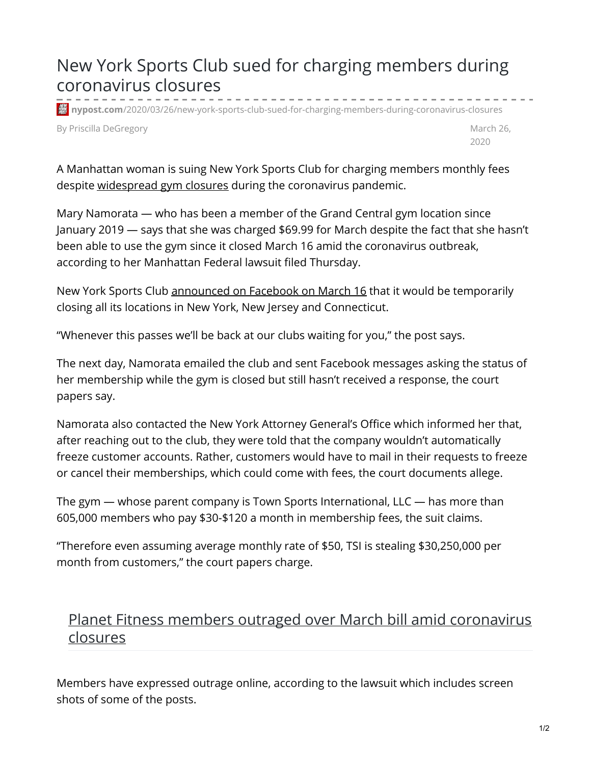## New York Sports Club sued for charging members during coronavirus closures

**機 nypost.com**[/2020/03/26/new-york-sports-club-sued-for-charging-members-during-coronavirus-closures](https://nypost.com/2020/03/26/new-york-sports-club-sued-for-charging-members-during-coronavirus-closures/)

By Priscilla DeGregory **March 26, and Structure 20, and Structure 20, and Structure 20, and Structure 20, and Structure 20, and Structure 20, and Structure 20, and Structure 20, and Structure 20, and Structure 20, and Stru** 

2020

A Manhattan woman is suing New York Sports Club for charging members monthly fees despite [widespread](https://nypost.com/2020/03/19/planet-fitness-members-outraged-over-march-bill-amid-coronavirus-closures/) gym closures during the coronavirus pandemic.

Mary Namorata — who has been a member of the Grand Central gym location since January 2019 — says that she was charged \$69.99 for March despite the fact that she hasn't been able to use the gym since it closed March 16 amid the coronavirus outbreak, according to her Manhattan Federal lawsuit filed Thursday.

New York Sports Club [announced](https://www.facebook.com/NewYorkSportsClubs/posts/3457912307558645:0) on Facebook on March 16 that it would be temporarily closing all its locations in New York, New Jersey and Connecticut.

"Whenever this passes we'll be back at our clubs waiting for you," the post says.

The next day, Namorata emailed the club and sent Facebook messages asking the status of her membership while the gym is closed but still hasn't received a response, the court papers say.

Namorata also contacted the New York Attorney General's Office which informed her that, after reaching out to the club, they were told that the company wouldn't automatically freeze customer accounts. Rather, customers would have to mail in their requests to freeze or cancel their memberships, which could come with fees, the court documents allege.

The gym — whose parent company is Town Sports International, LLC — has more than 605,000 members who pay \$30-\$120 a month in membership fees, the suit claims.

"Therefore even assuming average monthly rate of \$50, TSI is stealing \$30,250,000 per month from customers," the court papers charge.

## Planet Fitness members outraged over March bill amid coronavirus closures

Members have expressed outrage online, according to the lawsuit which includes screen shots of some of the posts.